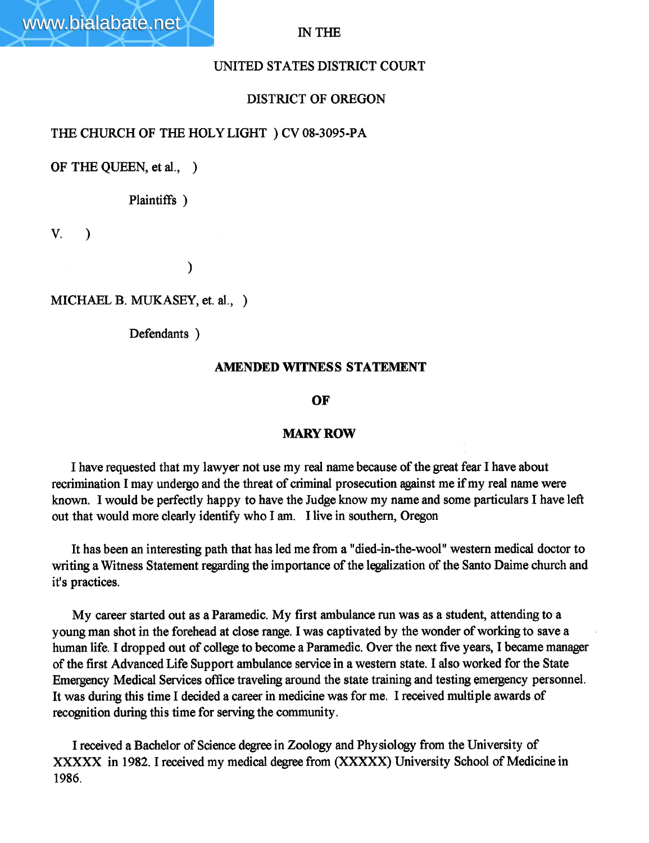# IN THE

# UNITED STATES DISTRICT COURT

# DISTRICT OF OREGON

## THE CHURCH OF THE HOLY LIGHT ) CV 08-3095-PA

OF THE QUEEN, et al., )

Plaintiffs )

 $V.$  )

)

MICHAEL B. MUKASEY, et. al., )

Defendants )

### AMENDED WITNESS STATEMENT

### OF

### **MARY ROW**

I have requested that my lawyer not use my real name because of the great fear I have about recrimination I may undergo and the threat of criminal prosecution against me if my real name were known. I would be perfectly happy to have the Judge know my name and some particulars I have left out that would more clearly identify who I am. I live in southern, Oregon

It has been an interesting path that has led me from a "died-in-the-wool" western medical doctor to writing a Witness Statement regarding the importance of the legalization of the Santo Daime church and it's practices.

My career started out as a Paramedic. My first ambulance run was as a student, attending to a young man shot in the forehead at close range. I was captivated by the wonder of working to save a human life. I dropped out of college to become a Paramedic. Over the next five years, I became manager of the first Advanced Life Support ambulance service in a western state. I also worked for the State Emergency Medical Services office traveling around the state training and testing emergency personnel. It was during this time I decided a career in medicine was for me. I received multiple awards of recognition during this time for serving the community.

I received a Bachelor of Science degree in Zoology and Physiology from the University of XXXXX in 1982. I received my medical degree from (XXXXX) University School of Medicine in 1986.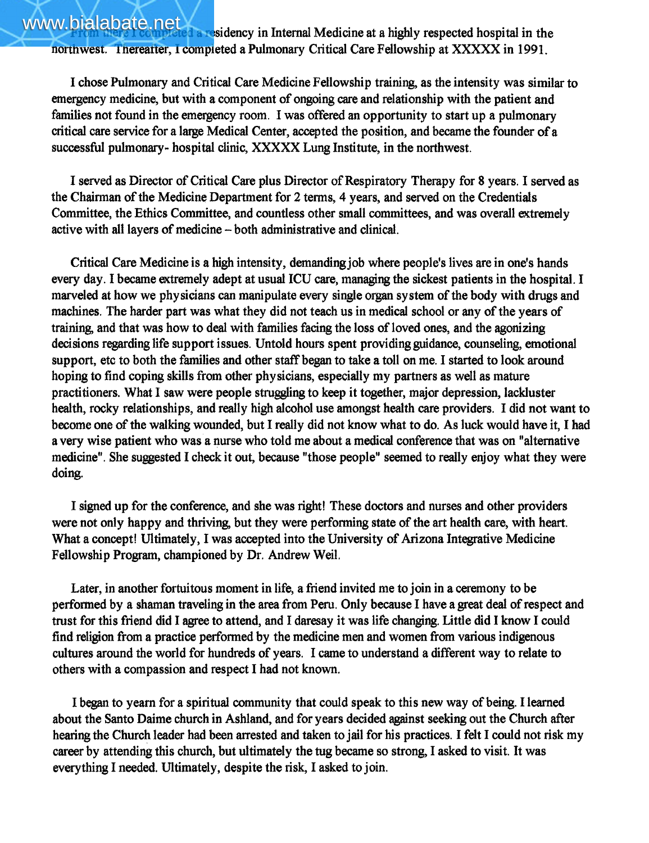www.bialabate.net<br>www.bialabate.net northwest. Thereafter, I completed a Pulmonary Critical Care Fellowship at XXXXX in 1991.

I chose Pulmonary and Critical Care Medicine Fellowship training, as the intensity was similar to emergency medicine, but with a component of ongoing care and relationship with the patient and families not found in the emergency room. I was offered an opportunity to start up a pulmonary critical care service for a large Medical Center, accepted the position, and became the founder of a successful pulmonary- hospital clinic, XXXXX Lung Institute, in the northwest.

I served as Director of Critical Care plus Director of Respiratory Therpy for 8 years. I served as the Chairman of the Medicine Deparment for 2 terms, 4 years, and served on the Credentials Committee, the Ethics Committee, and countless other small committes, and was overall extremely active with all layers of medcine - both administrative and clinical.

Critical Care Medicine is a high intensity, demanding job where people's lives are in one's hands every day. I became extremely adept at usual ICU care, managing the sickest patients in the hospital. I marveled at how we physicians can manipulate every single organ system of the body with drugs and machines. The harder part was what they did not teach us in medical school or any of the years of training, and that was how to deal with families facing the loss of loved ones, and the agonizing decisions regarding life support issues. Untold hours spent providing guidance, counseling, emotional support, etc to both the families and other staff began to take a toll on me. I started to look around hoping to find coping skills from other physicians, especially my parners as well as mature practitioners. What I saw were people strugging to keep it together, major depression, lackluster heath, rocky relationships, and realy high alcohol use amongst heath care providers. I did not want to become one of the walking wounded, but I realy did not know what to do. As luck would have it, I had a very wise patient who was a nurse who told me about a medical conference that was on "alternative medicine". She suggested I check it out, because "those people" seemed to really enjoy what they were doing.

I signed up for the conference, and she was right! These doctors and nurses and other providers were not only happy and thriving, but they were performing state of the art health care, with heart. What a concept! Ultimately, I was accepted into the University of Arizona Integrative Medicine Fellowship Program, championed by Dr. Andrew Weil.

Later, in another fortuitous moment in life, a friend invited me to join in a ceremony to be performed by a shaman traveling in the area from Peru. Only because I have a great deal of respect and trust for this friend did I agee to attend, and I daresay it was lire channg. Little did I know I could find religion from a practice performed by the medicine men and women from various indigenous cultures around the world for hundreds of years. I came to understand a different way to relate to others with a compassion and respect I had not known.

I began to yearn for a spiritual community that could speak to this new way of being. I learned about the Santo Daime church in Ashland, and for years decided against seeking out the Church after hearing the Church leader had been arrested and taken to jail for his practices. I felt I could not risk my career by attending this church, but ultimately the tug became so strong, I asked to visit. It was everything I needed. Ultimately, despite the risk, I asked to join.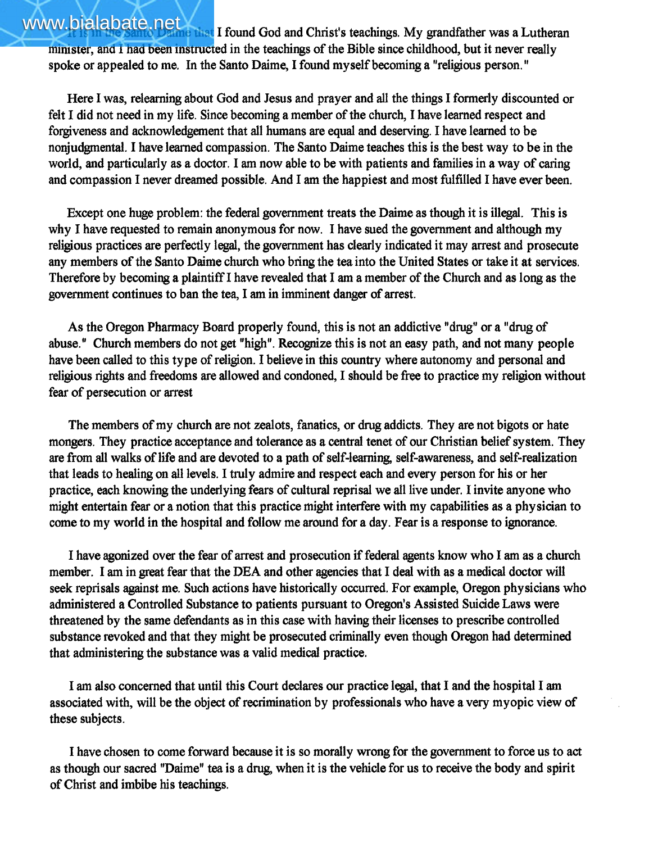# www.bialabate.net<br>I found God and Christ's teachings. My grandfather was a Lutheran minister, and I had been instructed in the teachings of the Bible since childhood, but it never really spoke or appealed to me. In the Santo Daime, I found myself becoming a "religious person."

Here I was, relearning about God and Jesus and prayer and all the things I formerly discounted or felt I did not need in my life. Since becoming a member of the church, I have learned respect and forgiveness and acknowledgement that all humans are equal and deserving. I have learned to be nonjudgmental. I have learned compassion. The Santo Daime teaches this is the best way to be in the world, and particularly as a doctor. I am now able to be with patients and families in a way of caring and compassion I never dreamed possible. And I am the happiest and most fulfilled I have ever been.

Except one huge problem: the federal government treats the Daime as though it is illegal. This is why I have requested to remain anonymous for now. I have sued the government and although my religious practices are perfectly legal, the government has clearly indicated it may arrest and prosecute any members of the Santo Daime church who bring the tea into the United States or take it at services. Therefore by becoming a plaintiff I have revealed that I am a member of the Church and as long as the government continues to ban the tea, I am in imminent danger of arrest.

As the Oregon Pharmacy Board properly found, this is not an addictive "drug" or a "drug of abuse." Church members do not get "high". Recognize this is not an easy path, and not many people have been called to this type of religion. I believe in this country where autonomy and personal and religious rights and freedoms are allowed and condoned, I should be free to practice my religion without fear of persecution or arest

The members of my church are not zealots, fanatics, or drug addicts. They are not bigots or hate mongers. They practice acceptance and tolerance as a central tenet of our Christian belief system. They are from all walks of life and are devoted to a path of self-learning, self-awareness, and self-realization that leads to healing on all levels. I truly admire and respect each and every person for his or her practice, eah knowing the underlying fears of cultural reprisal we all live under. I invite anyone who might entertain fear or a notion that this practice might interfere with my capabilities as a physician to come to my world in the hospital and follow me around for a day. Fear is a response to ignorance.

I have agonized over the fear of arest and prosecution if federal agents know who I am as a church member. I am in great fear that the DEA and other agencies that I deal with as a medical doctor will seek reprisals against me. Such actions have historically occurred. For example, Oregon physicians who administered a Controlled Substance to patients pursuant to Oregon's Assisted Suicide Laws were threatened by the same defendants as in this case with having their licenses to prescribe controlled substance revoked and that they might be prosecuted criminally even though Oregon had determined that administering the substance was a valid medical practice.

I am also concerned that until this Court declares our practice legal, that I and the hospital I am associated with, will be the object of recrimination by professionals who have a very myopic view of these subjects.

I have chosen to come forward because it is so morally wrong for the government to force us to act as though our sacred "Daime" tea is a drug, when it is the vehicle for us to receive the body and spirit of Christ and imbibe his teachings.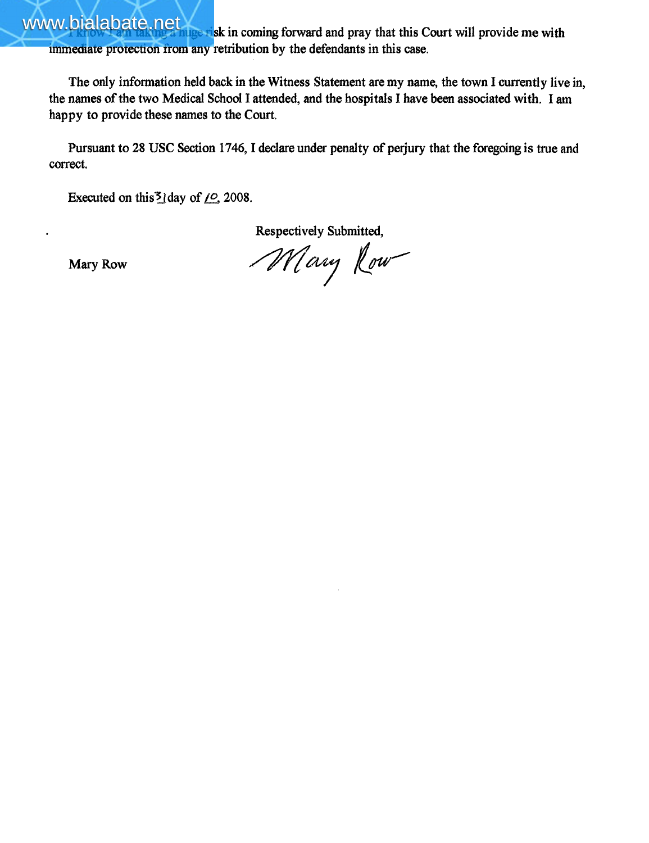www.bialabate.net<br>www.bialabate.net immediate protection from any retribution by the defendants in this case.

The only information held back in the Witness Statement are my name, the town I curently live in, the names of the two Medical School I attended, and the hospitals I have been associated with. I am happy to provide these names to the Court.

Pursuant to 28 USC Section 1746, I declare under penalty of perjury that the foregoing is true and correct.

Executed on this<sup> $3$ </sup>lday of  $/2$ , 2008.

Mary Row

Respectively Submitted,<br>*Many* Low